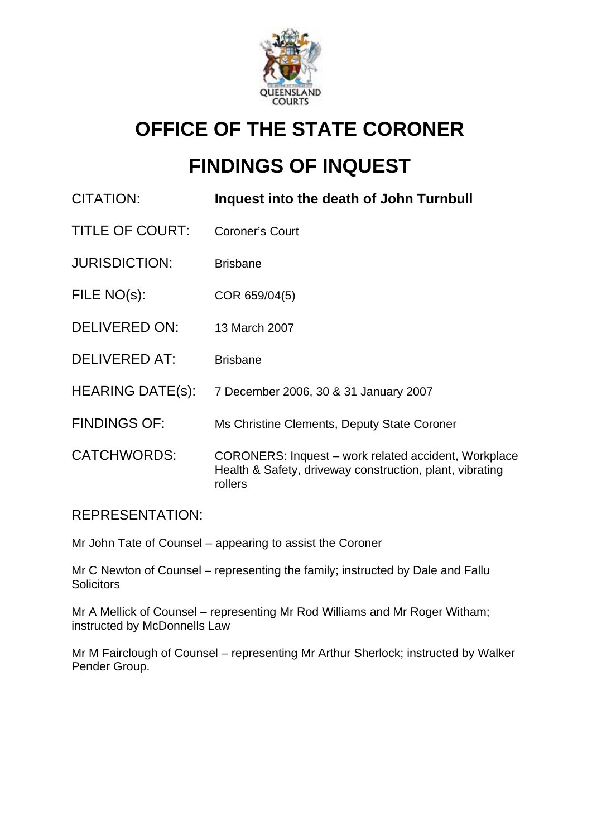

## **OFFICE OF THE STATE CORONER**

# **FINDINGS OF INQUEST**

| <b>CITATION:</b>        | Inquest into the death of John Turnbull                                                                                     |
|-------------------------|-----------------------------------------------------------------------------------------------------------------------------|
| TITLE OF COURT:         | <b>Coroner's Court</b>                                                                                                      |
| <b>JURISDICTION:</b>    | <b>Brisbane</b>                                                                                                             |
| FILE NO(s):             | COR 659/04(5)                                                                                                               |
| DELIVERED ON:           | 13 March 2007                                                                                                               |
| <b>DELIVERED AT:</b>    | <b>Brisbane</b>                                                                                                             |
| <b>HEARING DATE(s):</b> | 7 December 2006, 30 & 31 January 2007                                                                                       |
| <b>FINDINGS OF:</b>     | Ms Christine Clements, Deputy State Coroner                                                                                 |
| <b>CATCHWORDS:</b>      | CORONERS: Inquest – work related accident, Workplace<br>Health & Safety, driveway construction, plant, vibrating<br>rollers |

### REPRESENTATION:

Mr John Tate of Counsel – appearing to assist the Coroner

Mr C Newton of Counsel – representing the family; instructed by Dale and Fallu **Solicitors** 

Mr A Mellick of Counsel – representing Mr Rod Williams and Mr Roger Witham; instructed by McDonnells Law

Mr M Fairclough of Counsel – representing Mr Arthur Sherlock; instructed by Walker Pender Group.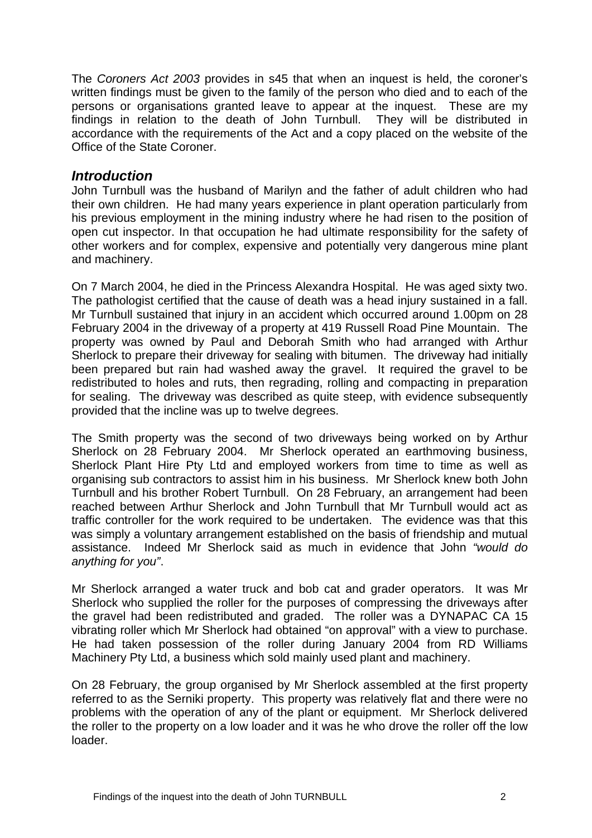The *Coroners Act 2003* provides in s45 that when an inquest is held, the coroner's written findings must be given to the family of the person who died and to each of the persons or organisations granted leave to appear at the inquest. These are my findings in relation to the death of John Turnbull. They will be distributed in accordance with the requirements of the Act and a copy placed on the website of the Office of the State Coroner.

#### *Introduction*

John Turnbull was the husband of Marilyn and the father of adult children who had their own children. He had many years experience in plant operation particularly from his previous employment in the mining industry where he had risen to the position of open cut inspector. In that occupation he had ultimate responsibility for the safety of other workers and for complex, expensive and potentially very dangerous mine plant and machinery.

On 7 March 2004, he died in the Princess Alexandra Hospital. He was aged sixty two. The pathologist certified that the cause of death was a head injury sustained in a fall. Mr Turnbull sustained that injury in an accident which occurred around 1.00pm on 28 February 2004 in the driveway of a property at 419 Russell Road Pine Mountain. The property was owned by Paul and Deborah Smith who had arranged with Arthur Sherlock to prepare their driveway for sealing with bitumen. The driveway had initially been prepared but rain had washed away the gravel. It required the gravel to be redistributed to holes and ruts, then regrading, rolling and compacting in preparation for sealing. The driveway was described as quite steep, with evidence subsequently provided that the incline was up to twelve degrees.

The Smith property was the second of two driveways being worked on by Arthur Sherlock on 28 February 2004. Mr Sherlock operated an earthmoving business, Sherlock Plant Hire Pty Ltd and employed workers from time to time as well as organising sub contractors to assist him in his business. Mr Sherlock knew both John Turnbull and his brother Robert Turnbull. On 28 February, an arrangement had been reached between Arthur Sherlock and John Turnbull that Mr Turnbull would act as traffic controller for the work required to be undertaken. The evidence was that this was simply a voluntary arrangement established on the basis of friendship and mutual assistance. Indeed Mr Sherlock said as much in evidence that John *"would do anything for you"*.

Mr Sherlock arranged a water truck and bob cat and grader operators. It was Mr Sherlock who supplied the roller for the purposes of compressing the driveways after the gravel had been redistributed and graded. The roller was a DYNAPAC CA 15 vibrating roller which Mr Sherlock had obtained "on approval" with a view to purchase. He had taken possession of the roller during January 2004 from RD Williams Machinery Pty Ltd, a business which sold mainly used plant and machinery.

On 28 February, the group organised by Mr Sherlock assembled at the first property referred to as the Serniki property. This property was relatively flat and there were no problems with the operation of any of the plant or equipment. Mr Sherlock delivered the roller to the property on a low loader and it was he who drove the roller off the low loader.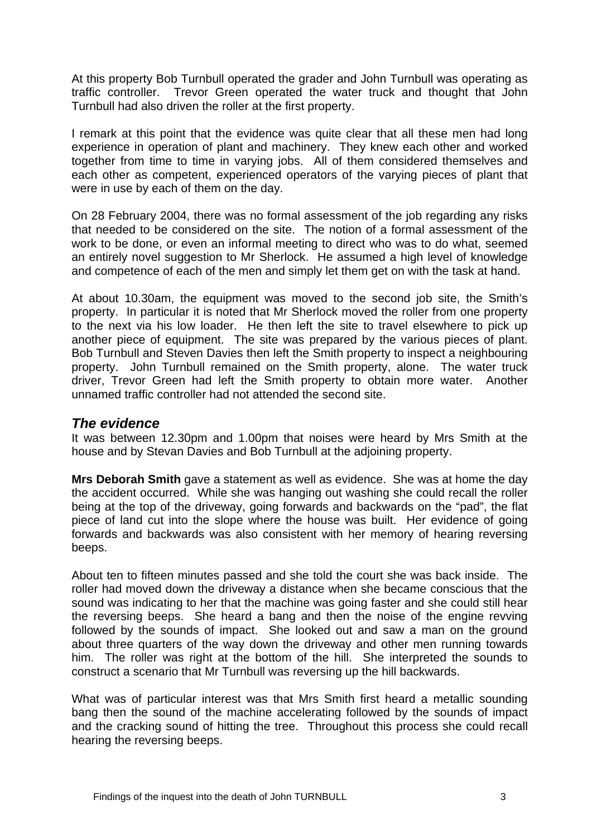At this property Bob Turnbull operated the grader and John Turnbull was operating as traffic controller. Trevor Green operated the water truck and thought that John Turnbull had also driven the roller at the first property.

I remark at this point that the evidence was quite clear that all these men had long experience in operation of plant and machinery. They knew each other and worked together from time to time in varying jobs. All of them considered themselves and each other as competent, experienced operators of the varying pieces of plant that were in use by each of them on the day.

On 28 February 2004, there was no formal assessment of the job regarding any risks that needed to be considered on the site. The notion of a formal assessment of the work to be done, or even an informal meeting to direct who was to do what, seemed an entirely novel suggestion to Mr Sherlock. He assumed a high level of knowledge and competence of each of the men and simply let them get on with the task at hand.

At about 10.30am, the equipment was moved to the second job site, the Smith's property. In particular it is noted that Mr Sherlock moved the roller from one property to the next via his low loader. He then left the site to travel elsewhere to pick up another piece of equipment. The site was prepared by the various pieces of plant. Bob Turnbull and Steven Davies then left the Smith property to inspect a neighbouring property. John Turnbull remained on the Smith property, alone. The water truck driver, Trevor Green had left the Smith property to obtain more water. Another unnamed traffic controller had not attended the second site.

#### *The evidence*

It was between 12.30pm and 1.00pm that noises were heard by Mrs Smith at the house and by Stevan Davies and Bob Turnbull at the adjoining property.

**Mrs Deborah Smith** gave a statement as well as evidence. She was at home the day the accident occurred. While she was hanging out washing she could recall the roller being at the top of the driveway, going forwards and backwards on the "pad", the flat piece of land cut into the slope where the house was built. Her evidence of going forwards and backwards was also consistent with her memory of hearing reversing beeps.

About ten to fifteen minutes passed and she told the court she was back inside. The roller had moved down the driveway a distance when she became conscious that the sound was indicating to her that the machine was going faster and she could still hear the reversing beeps. She heard a bang and then the noise of the engine revving followed by the sounds of impact. She looked out and saw a man on the ground about three quarters of the way down the driveway and other men running towards him. The roller was right at the bottom of the hill. She interpreted the sounds to construct a scenario that Mr Turnbull was reversing up the hill backwards.

What was of particular interest was that Mrs Smith first heard a metallic sounding bang then the sound of the machine accelerating followed by the sounds of impact and the cracking sound of hitting the tree. Throughout this process she could recall hearing the reversing beeps.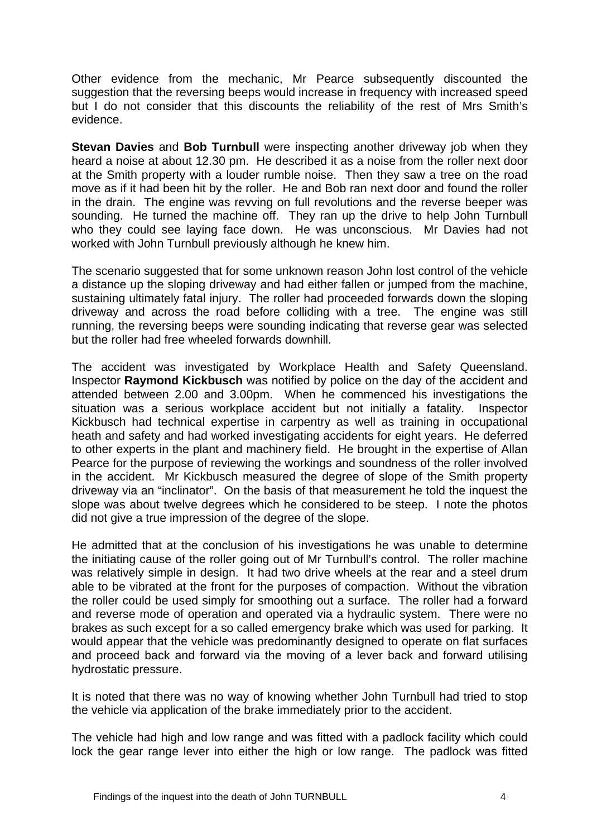Other evidence from the mechanic, Mr Pearce subsequently discounted the suggestion that the reversing beeps would increase in frequency with increased speed but I do not consider that this discounts the reliability of the rest of Mrs Smith's evidence.

**Stevan Davies** and **Bob Turnbull** were inspecting another driveway job when they heard a noise at about 12.30 pm. He described it as a noise from the roller next door at the Smith property with a louder rumble noise. Then they saw a tree on the road move as if it had been hit by the roller. He and Bob ran next door and found the roller in the drain. The engine was revving on full revolutions and the reverse beeper was sounding. He turned the machine off. They ran up the drive to help John Turnbull who they could see laying face down. He was unconscious. Mr Davies had not worked with John Turnbull previously although he knew him.

The scenario suggested that for some unknown reason John lost control of the vehicle a distance up the sloping driveway and had either fallen or jumped from the machine, sustaining ultimately fatal injury. The roller had proceeded forwards down the sloping driveway and across the road before colliding with a tree. The engine was still running, the reversing beeps were sounding indicating that reverse gear was selected but the roller had free wheeled forwards downhill.

The accident was investigated by Workplace Health and Safety Queensland. Inspector **Raymond Kickbusch** was notified by police on the day of the accident and attended between 2.00 and 3.00pm. When he commenced his investigations the situation was a serious workplace accident but not initially a fatality. Inspector Kickbusch had technical expertise in carpentry as well as training in occupational heath and safety and had worked investigating accidents for eight years. He deferred to other experts in the plant and machinery field. He brought in the expertise of Allan Pearce for the purpose of reviewing the workings and soundness of the roller involved in the accident. Mr Kickbusch measured the degree of slope of the Smith property driveway via an "inclinator". On the basis of that measurement he told the inquest the slope was about twelve degrees which he considered to be steep. I note the photos did not give a true impression of the degree of the slope.

He admitted that at the conclusion of his investigations he was unable to determine the initiating cause of the roller going out of Mr Turnbull's control. The roller machine was relatively simple in design. It had two drive wheels at the rear and a steel drum able to be vibrated at the front for the purposes of compaction. Without the vibration the roller could be used simply for smoothing out a surface. The roller had a forward and reverse mode of operation and operated via a hydraulic system. There were no brakes as such except for a so called emergency brake which was used for parking. It would appear that the vehicle was predominantly designed to operate on flat surfaces and proceed back and forward via the moving of a lever back and forward utilising hydrostatic pressure.

It is noted that there was no way of knowing whether John Turnbull had tried to stop the vehicle via application of the brake immediately prior to the accident.

The vehicle had high and low range and was fitted with a padlock facility which could lock the gear range lever into either the high or low range. The padlock was fitted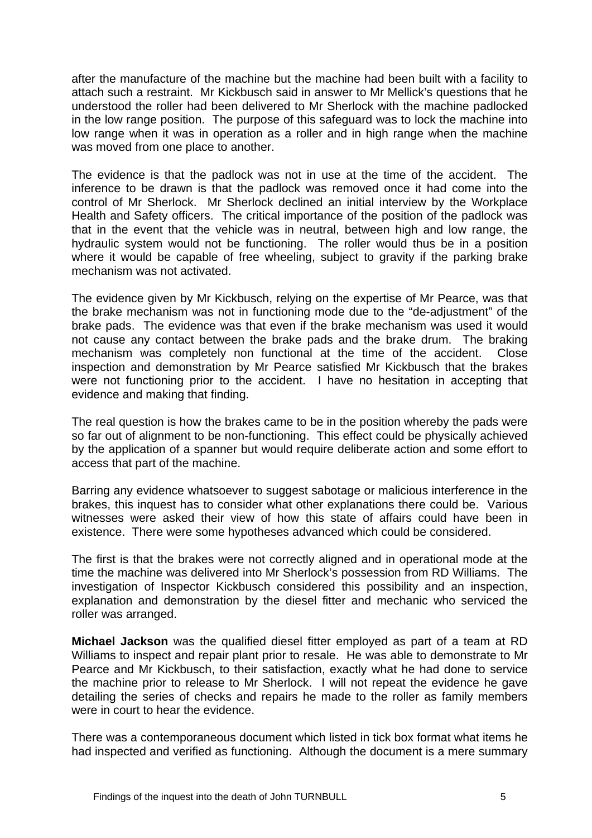after the manufacture of the machine but the machine had been built with a facility to attach such a restraint. Mr Kickbusch said in answer to Mr Mellick's questions that he understood the roller had been delivered to Mr Sherlock with the machine padlocked in the low range position. The purpose of this safeguard was to lock the machine into low range when it was in operation as a roller and in high range when the machine was moved from one place to another.

The evidence is that the padlock was not in use at the time of the accident. The inference to be drawn is that the padlock was removed once it had come into the control of Mr Sherlock. Mr Sherlock declined an initial interview by the Workplace Health and Safety officers. The critical importance of the position of the padlock was that in the event that the vehicle was in neutral, between high and low range, the hydraulic system would not be functioning. The roller would thus be in a position where it would be capable of free wheeling, subject to gravity if the parking brake mechanism was not activated.

The evidence given by Mr Kickbusch, relying on the expertise of Mr Pearce, was that the brake mechanism was not in functioning mode due to the "de-adjustment" of the brake pads. The evidence was that even if the brake mechanism was used it would not cause any contact between the brake pads and the brake drum. The braking mechanism was completely non functional at the time of the accident. Close inspection and demonstration by Mr Pearce satisfied Mr Kickbusch that the brakes were not functioning prior to the accident. I have no hesitation in accepting that evidence and making that finding.

The real question is how the brakes came to be in the position whereby the pads were so far out of alignment to be non-functioning. This effect could be physically achieved by the application of a spanner but would require deliberate action and some effort to access that part of the machine.

Barring any evidence whatsoever to suggest sabotage or malicious interference in the brakes, this inquest has to consider what other explanations there could be. Various witnesses were asked their view of how this state of affairs could have been in existence. There were some hypotheses advanced which could be considered.

The first is that the brakes were not correctly aligned and in operational mode at the time the machine was delivered into Mr Sherlock's possession from RD Williams. The investigation of Inspector Kickbusch considered this possibility and an inspection, explanation and demonstration by the diesel fitter and mechanic who serviced the roller was arranged.

**Michael Jackson** was the qualified diesel fitter employed as part of a team at RD Williams to inspect and repair plant prior to resale. He was able to demonstrate to Mr Pearce and Mr Kickbusch, to their satisfaction, exactly what he had done to service the machine prior to release to Mr Sherlock. I will not repeat the evidence he gave detailing the series of checks and repairs he made to the roller as family members were in court to hear the evidence.

There was a contemporaneous document which listed in tick box format what items he had inspected and verified as functioning. Although the document is a mere summary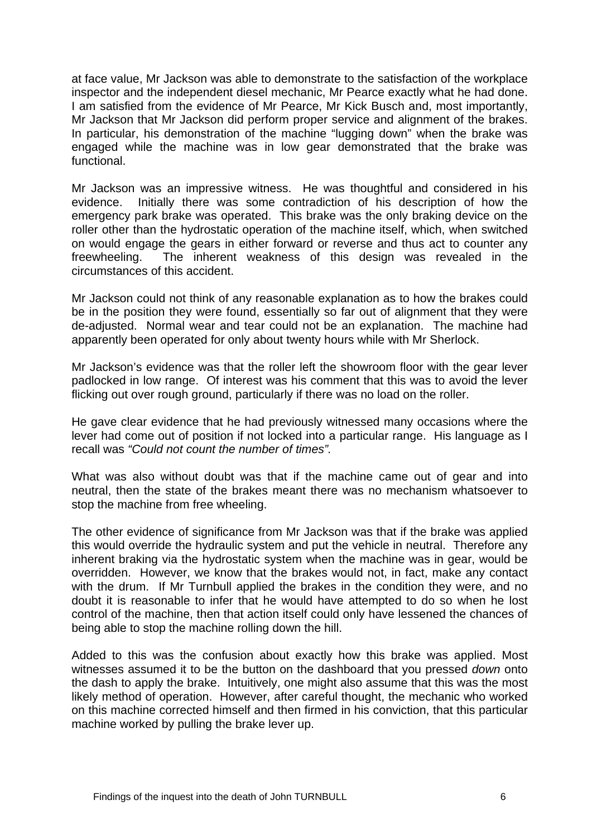at face value, Mr Jackson was able to demonstrate to the satisfaction of the workplace inspector and the independent diesel mechanic, Mr Pearce exactly what he had done. I am satisfied from the evidence of Mr Pearce, Mr Kick Busch and, most importantly, Mr Jackson that Mr Jackson did perform proper service and alignment of the brakes. In particular, his demonstration of the machine "lugging down" when the brake was engaged while the machine was in low gear demonstrated that the brake was functional.

Mr Jackson was an impressive witness. He was thoughtful and considered in his evidence. Initially there was some contradiction of his description of how the emergency park brake was operated. This brake was the only braking device on the roller other than the hydrostatic operation of the machine itself, which, when switched on would engage the gears in either forward or reverse and thus act to counter any freewheeling. The inherent weakness of this design was revealed in the circumstances of this accident.

Mr Jackson could not think of any reasonable explanation as to how the brakes could be in the position they were found, essentially so far out of alignment that they were de-adjusted. Normal wear and tear could not be an explanation. The machine had apparently been operated for only about twenty hours while with Mr Sherlock.

Mr Jackson's evidence was that the roller left the showroom floor with the gear lever padlocked in low range. Of interest was his comment that this was to avoid the lever flicking out over rough ground, particularly if there was no load on the roller.

He gave clear evidence that he had previously witnessed many occasions where the lever had come out of position if not locked into a particular range. His language as I recall was *"Could not count the number of times".*

What was also without doubt was that if the machine came out of gear and into neutral, then the state of the brakes meant there was no mechanism whatsoever to stop the machine from free wheeling.

The other evidence of significance from Mr Jackson was that if the brake was applied this would override the hydraulic system and put the vehicle in neutral. Therefore any inherent braking via the hydrostatic system when the machine was in gear, would be overridden. However, we know that the brakes would not, in fact, make any contact with the drum. If Mr Turnbull applied the brakes in the condition they were, and no doubt it is reasonable to infer that he would have attempted to do so when he lost control of the machine, then that action itself could only have lessened the chances of being able to stop the machine rolling down the hill.

Added to this was the confusion about exactly how this brake was applied. Most witnesses assumed it to be the button on the dashboard that you pressed *down* onto the dash to apply the brake. Intuitively, one might also assume that this was the most likely method of operation. However, after careful thought, the mechanic who worked on this machine corrected himself and then firmed in his conviction, that this particular machine worked by pulling the brake lever up.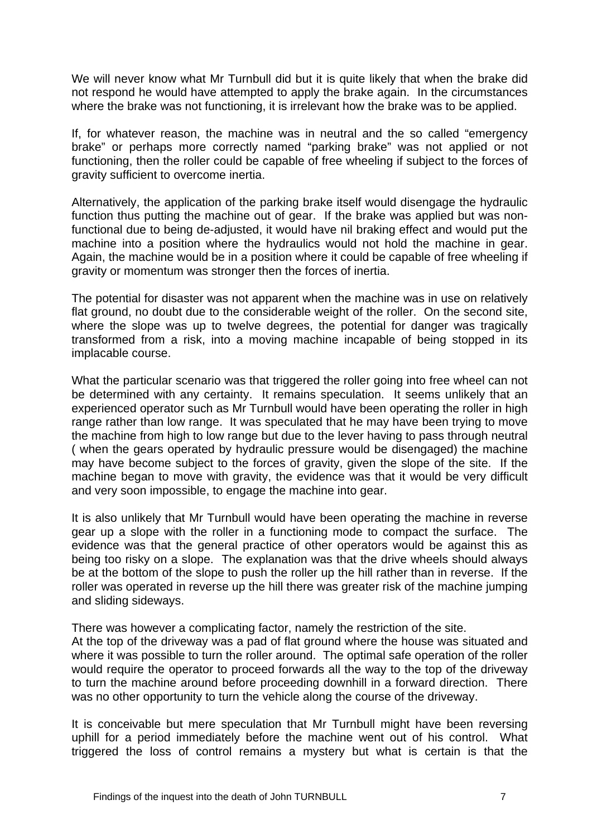We will never know what Mr Turnbull did but it is quite likely that when the brake did not respond he would have attempted to apply the brake again. In the circumstances where the brake was not functioning, it is irrelevant how the brake was to be applied.

If, for whatever reason, the machine was in neutral and the so called "emergency brake" or perhaps more correctly named "parking brake" was not applied or not functioning, then the roller could be capable of free wheeling if subject to the forces of gravity sufficient to overcome inertia.

Alternatively, the application of the parking brake itself would disengage the hydraulic function thus putting the machine out of gear. If the brake was applied but was nonfunctional due to being de-adjusted, it would have nil braking effect and would put the machine into a position where the hydraulics would not hold the machine in gear. Again, the machine would be in a position where it could be capable of free wheeling if gravity or momentum was stronger then the forces of inertia.

The potential for disaster was not apparent when the machine was in use on relatively flat ground, no doubt due to the considerable weight of the roller. On the second site, where the slope was up to twelve degrees, the potential for danger was tragically transformed from a risk, into a moving machine incapable of being stopped in its implacable course.

What the particular scenario was that triggered the roller going into free wheel can not be determined with any certainty. It remains speculation. It seems unlikely that an experienced operator such as Mr Turnbull would have been operating the roller in high range rather than low range. It was speculated that he may have been trying to move the machine from high to low range but due to the lever having to pass through neutral ( when the gears operated by hydraulic pressure would be disengaged) the machine may have become subject to the forces of gravity, given the slope of the site. If the machine began to move with gravity, the evidence was that it would be very difficult and very soon impossible, to engage the machine into gear.

It is also unlikely that Mr Turnbull would have been operating the machine in reverse gear up a slope with the roller in a functioning mode to compact the surface. The evidence was that the general practice of other operators would be against this as being too risky on a slope. The explanation was that the drive wheels should always be at the bottom of the slope to push the roller up the hill rather than in reverse. If the roller was operated in reverse up the hill there was greater risk of the machine jumping and sliding sideways.

There was however a complicating factor, namely the restriction of the site.

At the top of the driveway was a pad of flat ground where the house was situated and where it was possible to turn the roller around. The optimal safe operation of the roller would require the operator to proceed forwards all the way to the top of the driveway to turn the machine around before proceeding downhill in a forward direction. There was no other opportunity to turn the vehicle along the course of the driveway.

It is conceivable but mere speculation that Mr Turnbull might have been reversing uphill for a period immediately before the machine went out of his control. What triggered the loss of control remains a mystery but what is certain is that the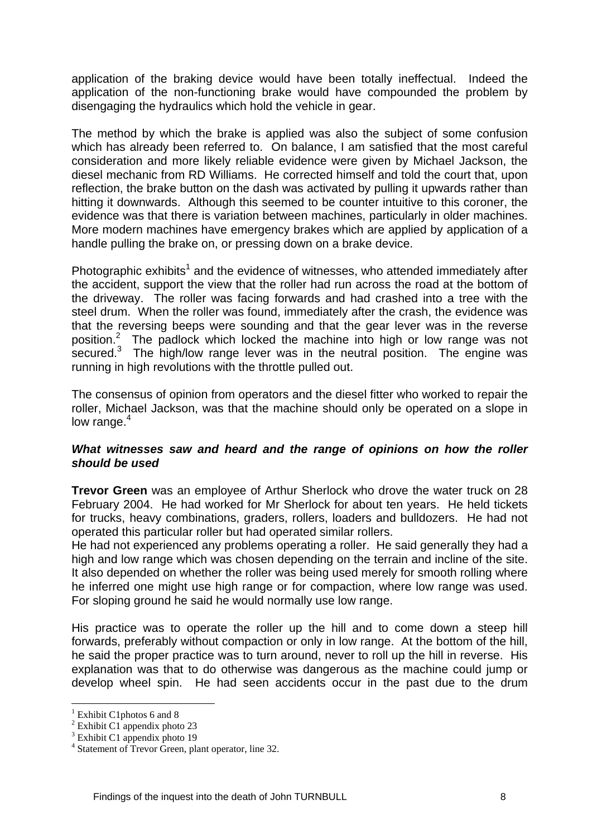application of the braking device would have been totally ineffectual. Indeed the application of the non-functioning brake would have compounded the problem by disengaging the hydraulics which hold the vehicle in gear.

The method by which the brake is applied was also the subject of some confusion which has already been referred to. On balance, I am satisfied that the most careful consideration and more likely reliable evidence were given by Michael Jackson, the diesel mechanic from RD Williams. He corrected himself and told the court that, upon reflection, the brake button on the dash was activated by pulling it upwards rather than hitting it downwards. Although this seemed to be counter intuitive to this coroner, the evidence was that there is variation between machines, particularly in older machines. More modern machines have emergency brakes which are applied by application of a handle pulling the brake on, or pressing down on a brake device.

Photographic exhibits<sup>1</sup> and the evidence of witnesses, who attended immediately after the accident, support the view that the roller had run across the road at the bottom of the driveway. The roller was facing forwards and had crashed into a tree with the steel drum. When the roller was found, immediately after the crash, the evidence was that the reversing beeps were sounding and that the gear lever was in the reverse position.<sup>2</sup> The padlock which locked the machine into high or low range was not  $\text{secured.}^3$  The high/low range lever was in the neutral position. The engine was running in high revolutions with the throttle pulled out.

The consensus of opinion from operators and the diesel fitter who worked to repair the roller, Michael Jackson, was that the machine should only be operated on a slope in low range. $4$ 

#### *What witnesses saw and heard and the range of opinions on how the roller should be used*

**Trevor Green** was an employee of Arthur Sherlock who drove the water truck on 28 February 2004. He had worked for Mr Sherlock for about ten years. He held tickets for trucks, heavy combinations, graders, rollers, loaders and bulldozers. He had not operated this particular roller but had operated similar rollers.

He had not experienced any problems operating a roller. He said generally they had a high and low range which was chosen depending on the terrain and incline of the site. It also depended on whether the roller was being used merely for smooth rolling where he inferred one might use high range or for compaction, where low range was used. For sloping ground he said he would normally use low range.

His practice was to operate the roller up the hill and to come down a steep hill forwards, preferably without compaction or only in low range. At the bottom of the hill, he said the proper practice was to turn around, never to roll up the hill in reverse. His explanation was that to do otherwise was dangerous as the machine could jump or develop wheel spin. He had seen accidents occur in the past due to the drum

<u>.</u>

<sup>1</sup> Exhibit C1photos 6 and 8

<sup>&</sup>lt;sup>2</sup> Exhibit C1 appendix photo 23

<sup>3</sup> Exhibit C1 appendix photo 19

<sup>4</sup> Statement of Trevor Green, plant operator, line 32.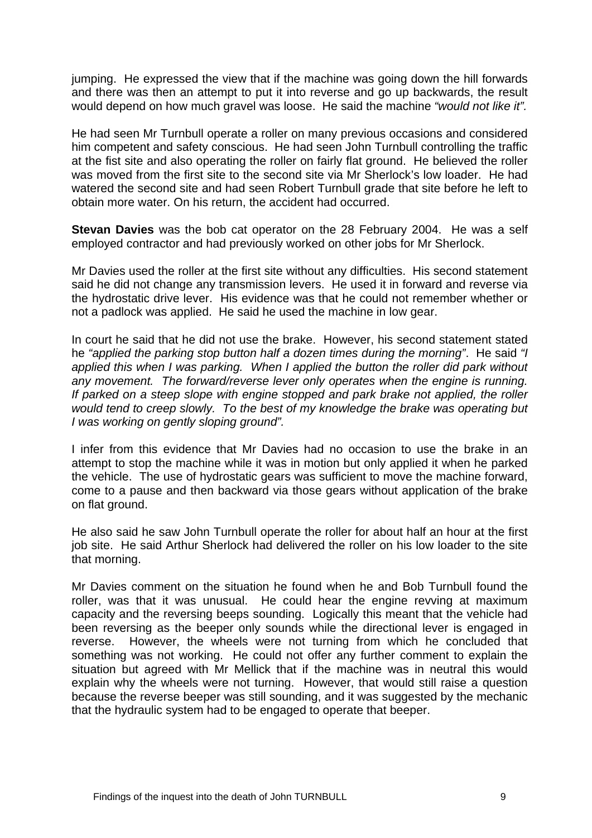jumping. He expressed the view that if the machine was going down the hill forwards and there was then an attempt to put it into reverse and go up backwards, the result would depend on how much gravel was loose. He said the machine *"would not like it".*

He had seen Mr Turnbull operate a roller on many previous occasions and considered him competent and safety conscious. He had seen John Turnbull controlling the traffic at the fist site and also operating the roller on fairly flat ground. He believed the roller was moved from the first site to the second site via Mr Sherlock's low loader. He had watered the second site and had seen Robert Turnbull grade that site before he left to obtain more water. On his return, the accident had occurred.

**Stevan Davies** was the bob cat operator on the 28 February 2004. He was a self employed contractor and had previously worked on other jobs for Mr Sherlock.

Mr Davies used the roller at the first site without any difficulties. His second statement said he did not change any transmission levers. He used it in forward and reverse via the hydrostatic drive lever. His evidence was that he could not remember whether or not a padlock was applied. He said he used the machine in low gear.

In court he said that he did not use the brake. However, his second statement stated he *"applied the parking stop button half a dozen times during the morning"*. He said *"I applied this when I was parking. When I applied the button the roller did park without any movement. The forward/reverse lever only operates when the engine is running. If parked on a steep slope with engine stopped and park brake not applied, the roller would tend to creep slowly. To the best of my knowledge the brake was operating but I was working on gently sloping ground".*

I infer from this evidence that Mr Davies had no occasion to use the brake in an attempt to stop the machine while it was in motion but only applied it when he parked the vehicle. The use of hydrostatic gears was sufficient to move the machine forward, come to a pause and then backward via those gears without application of the brake on flat ground.

He also said he saw John Turnbull operate the roller for about half an hour at the first job site. He said Arthur Sherlock had delivered the roller on his low loader to the site that morning.

Mr Davies comment on the situation he found when he and Bob Turnbull found the roller, was that it was unusual. He could hear the engine revving at maximum capacity and the reversing beeps sounding. Logically this meant that the vehicle had been reversing as the beeper only sounds while the directional lever is engaged in reverse. However, the wheels were not turning from which he concluded that something was not working. He could not offer any further comment to explain the situation but agreed with Mr Mellick that if the machine was in neutral this would explain why the wheels were not turning. However, that would still raise a question because the reverse beeper was still sounding, and it was suggested by the mechanic that the hydraulic system had to be engaged to operate that beeper.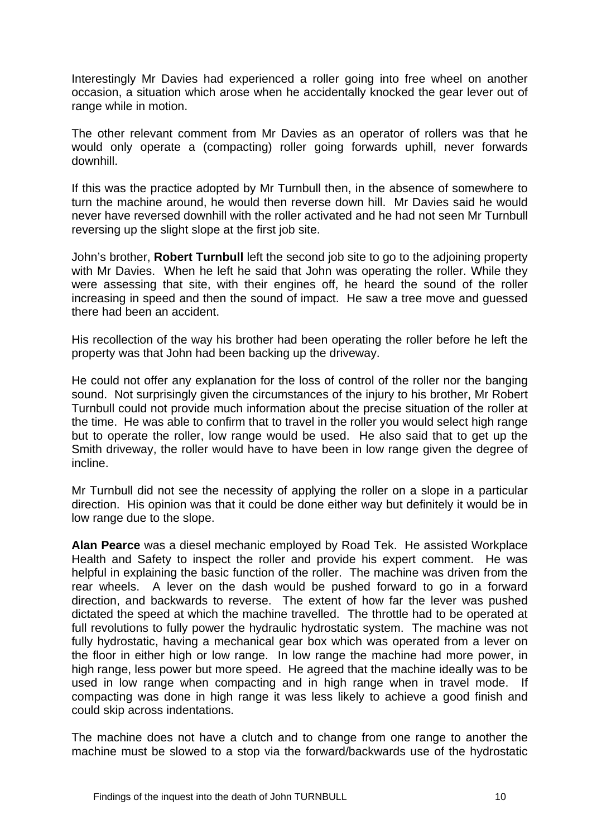Interestingly Mr Davies had experienced a roller going into free wheel on another occasion, a situation which arose when he accidentally knocked the gear lever out of range while in motion.

The other relevant comment from Mr Davies as an operator of rollers was that he would only operate a (compacting) roller going forwards uphill, never forwards downhill.

If this was the practice adopted by Mr Turnbull then, in the absence of somewhere to turn the machine around, he would then reverse down hill. Mr Davies said he would never have reversed downhill with the roller activated and he had not seen Mr Turnbull reversing up the slight slope at the first job site.

John's brother, **Robert Turnbull** left the second job site to go to the adjoining property with Mr Davies. When he left he said that John was operating the roller. While they were assessing that site, with their engines off, he heard the sound of the roller increasing in speed and then the sound of impact. He saw a tree move and guessed there had been an accident.

His recollection of the way his brother had been operating the roller before he left the property was that John had been backing up the driveway.

He could not offer any explanation for the loss of control of the roller nor the banging sound. Not surprisingly given the circumstances of the injury to his brother, Mr Robert Turnbull could not provide much information about the precise situation of the roller at the time. He was able to confirm that to travel in the roller you would select high range but to operate the roller, low range would be used. He also said that to get up the Smith driveway, the roller would have to have been in low range given the degree of incline.

Mr Turnbull did not see the necessity of applying the roller on a slope in a particular direction. His opinion was that it could be done either way but definitely it would be in low range due to the slope.

**Alan Pearce** was a diesel mechanic employed by Road Tek. He assisted Workplace Health and Safety to inspect the roller and provide his expert comment. He was helpful in explaining the basic function of the roller. The machine was driven from the rear wheels. A lever on the dash would be pushed forward to go in a forward direction, and backwards to reverse. The extent of how far the lever was pushed dictated the speed at which the machine travelled. The throttle had to be operated at full revolutions to fully power the hydraulic hydrostatic system. The machine was not fully hydrostatic, having a mechanical gear box which was operated from a lever on the floor in either high or low range. In low range the machine had more power, in high range, less power but more speed. He agreed that the machine ideally was to be used in low range when compacting and in high range when in travel mode. If compacting was done in high range it was less likely to achieve a good finish and could skip across indentations.

The machine does not have a clutch and to change from one range to another the machine must be slowed to a stop via the forward/backwards use of the hydrostatic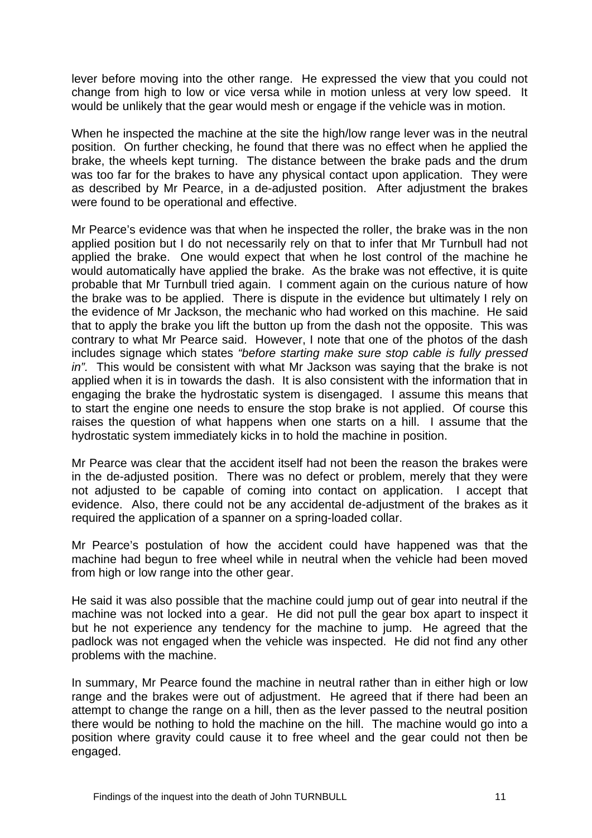lever before moving into the other range. He expressed the view that you could not change from high to low or vice versa while in motion unless at very low speed. It would be unlikely that the gear would mesh or engage if the vehicle was in motion.

When he inspected the machine at the site the high/low range lever was in the neutral position. On further checking, he found that there was no effect when he applied the brake, the wheels kept turning. The distance between the brake pads and the drum was too far for the brakes to have any physical contact upon application. They were as described by Mr Pearce, in a de-adjusted position. After adjustment the brakes were found to be operational and effective.

Mr Pearce's evidence was that when he inspected the roller, the brake was in the non applied position but I do not necessarily rely on that to infer that Mr Turnbull had not applied the brake. One would expect that when he lost control of the machine he would automatically have applied the brake. As the brake was not effective, it is quite probable that Mr Turnbull tried again. I comment again on the curious nature of how the brake was to be applied. There is dispute in the evidence but ultimately I rely on the evidence of Mr Jackson, the mechanic who had worked on this machine. He said that to apply the brake you lift the button up from the dash not the opposite. This was contrary to what Mr Pearce said. However, I note that one of the photos of the dash includes signage which states *"before starting make sure stop cable is fully pressed in".* This would be consistent with what Mr Jackson was saying that the brake is not applied when it is in towards the dash. It is also consistent with the information that in engaging the brake the hydrostatic system is disengaged. I assume this means that to start the engine one needs to ensure the stop brake is not applied. Of course this raises the question of what happens when one starts on a hill. I assume that the hydrostatic system immediately kicks in to hold the machine in position.

Mr Pearce was clear that the accident itself had not been the reason the brakes were in the de-adjusted position. There was no defect or problem, merely that they were not adjusted to be capable of coming into contact on application. I accept that evidence. Also, there could not be any accidental de-adjustment of the brakes as it required the application of a spanner on a spring-loaded collar.

Mr Pearce's postulation of how the accident could have happened was that the machine had begun to free wheel while in neutral when the vehicle had been moved from high or low range into the other gear.

He said it was also possible that the machine could jump out of gear into neutral if the machine was not locked into a gear. He did not pull the gear box apart to inspect it but he not experience any tendency for the machine to jump. He agreed that the padlock was not engaged when the vehicle was inspected. He did not find any other problems with the machine.

In summary, Mr Pearce found the machine in neutral rather than in either high or low range and the brakes were out of adjustment. He agreed that if there had been an attempt to change the range on a hill, then as the lever passed to the neutral position there would be nothing to hold the machine on the hill. The machine would go into a position where gravity could cause it to free wheel and the gear could not then be engaged.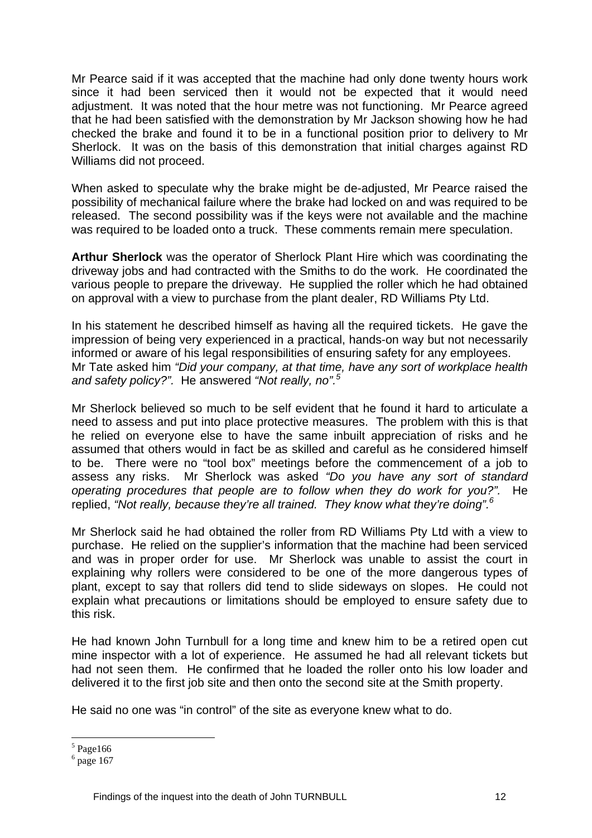Mr Pearce said if it was accepted that the machine had only done twenty hours work since it had been serviced then it would not be expected that it would need adjustment. It was noted that the hour metre was not functioning. Mr Pearce agreed that he had been satisfied with the demonstration by Mr Jackson showing how he had checked the brake and found it to be in a functional position prior to delivery to Mr Sherlock. It was on the basis of this demonstration that initial charges against RD Williams did not proceed.

When asked to speculate why the brake might be de-adjusted, Mr Pearce raised the possibility of mechanical failure where the brake had locked on and was required to be released. The second possibility was if the keys were not available and the machine was required to be loaded onto a truck. These comments remain mere speculation.

**Arthur Sherlock** was the operator of Sherlock Plant Hire which was coordinating the driveway jobs and had contracted with the Smiths to do the work. He coordinated the various people to prepare the driveway. He supplied the roller which he had obtained on approval with a view to purchase from the plant dealer, RD Williams Pty Ltd.

In his statement he described himself as having all the required tickets. He gave the impression of being very experienced in a practical, hands-on way but not necessarily informed or aware of his legal responsibilities of ensuring safety for any employees. Mr Tate asked him *"Did your company, at that time, have any sort of workplace health and safety policy?".* He answered *"Not really, no".5*

Mr Sherlock believed so much to be self evident that he found it hard to articulate a need to assess and put into place protective measures. The problem with this is that he relied on everyone else to have the same inbuilt appreciation of risks and he assumed that others would in fact be as skilled and careful as he considered himself to be. There were no "tool box" meetings before the commencement of a job to assess any risks. Mr Sherlock was asked *"Do you have any sort of standard operating procedures that people are to follow when they do work for you?".* He replied, *"Not really, because they're all trained. They know what they're doing".6*

Mr Sherlock said he had obtained the roller from RD Williams Pty Ltd with a view to purchase. He relied on the supplier's information that the machine had been serviced and was in proper order for use. Mr Sherlock was unable to assist the court in explaining why rollers were considered to be one of the more dangerous types of plant, except to say that rollers did tend to slide sideways on slopes. He could not explain what precautions or limitations should be employed to ensure safety due to this risk.

He had known John Turnbull for a long time and knew him to be a retired open cut mine inspector with a lot of experience. He assumed he had all relevant tickets but had not seen them. He confirmed that he loaded the roller onto his low loader and delivered it to the first job site and then onto the second site at the Smith property.

He said no one was "in control" of the site as everyone knew what to do.

<u>.</u>

 $<sup>5</sup>$  Page166</sup>

 $<sup>6</sup>$  page 167</sup>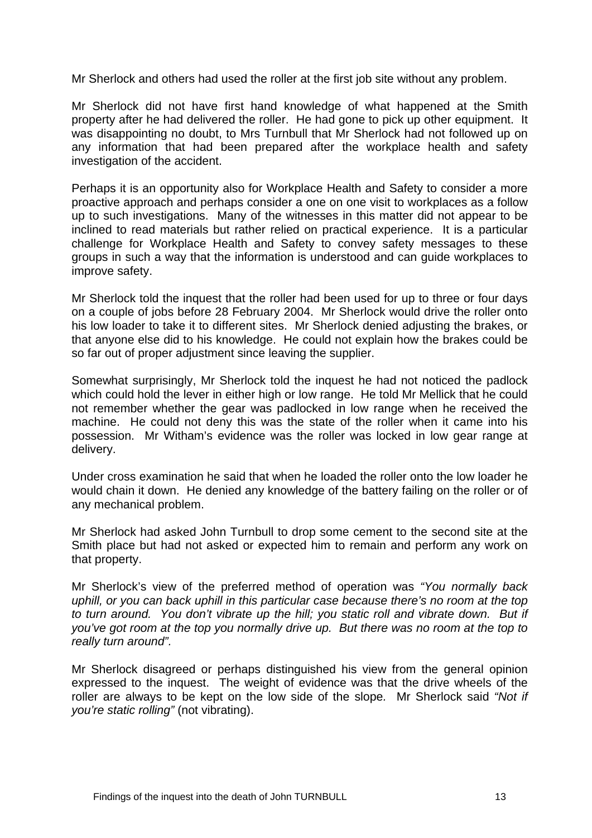Mr Sherlock and others had used the roller at the first job site without any problem.

Mr Sherlock did not have first hand knowledge of what happened at the Smith property after he had delivered the roller. He had gone to pick up other equipment. It was disappointing no doubt, to Mrs Turnbull that Mr Sherlock had not followed up on any information that had been prepared after the workplace health and safety investigation of the accident.

Perhaps it is an opportunity also for Workplace Health and Safety to consider a more proactive approach and perhaps consider a one on one visit to workplaces as a follow up to such investigations. Many of the witnesses in this matter did not appear to be inclined to read materials but rather relied on practical experience. It is a particular challenge for Workplace Health and Safety to convey safety messages to these groups in such a way that the information is understood and can guide workplaces to improve safety.

Mr Sherlock told the inquest that the roller had been used for up to three or four days on a couple of jobs before 28 February 2004. Mr Sherlock would drive the roller onto his low loader to take it to different sites. Mr Sherlock denied adjusting the brakes, or that anyone else did to his knowledge. He could not explain how the brakes could be so far out of proper adjustment since leaving the supplier.

Somewhat surprisingly, Mr Sherlock told the inquest he had not noticed the padlock which could hold the lever in either high or low range. He told Mr Mellick that he could not remember whether the gear was padlocked in low range when he received the machine. He could not deny this was the state of the roller when it came into his possession. Mr Witham's evidence was the roller was locked in low gear range at delivery.

Under cross examination he said that when he loaded the roller onto the low loader he would chain it down. He denied any knowledge of the battery failing on the roller or of any mechanical problem.

Mr Sherlock had asked John Turnbull to drop some cement to the second site at the Smith place but had not asked or expected him to remain and perform any work on that property.

Mr Sherlock's view of the preferred method of operation was *"You normally back uphill, or you can back uphill in this particular case because there's no room at the top to turn around. You don't vibrate up the hill; you static roll and vibrate down. But if you've got room at the top you normally drive up. But there was no room at the top to really turn around".*

Mr Sherlock disagreed or perhaps distinguished his view from the general opinion expressed to the inquest. The weight of evidence was that the drive wheels of the roller are always to be kept on the low side of the slope*.* Mr Sherlock said *"Not if you're static rolling"* (not vibrating).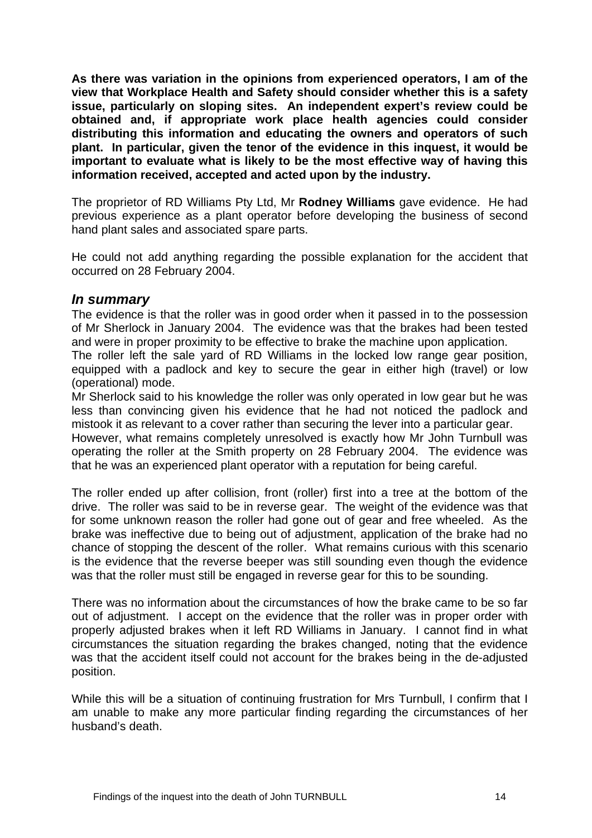**As there was variation in the opinions from experienced operators, I am of the view that Workplace Health and Safety should consider whether this is a safety issue, particularly on sloping sites. An independent expert's review could be obtained and, if appropriate work place health agencies could consider distributing this information and educating the owners and operators of such plant. In particular, given the tenor of the evidence in this inquest, it would be important to evaluate what is likely to be the most effective way of having this information received, accepted and acted upon by the industry.** 

The proprietor of RD Williams Pty Ltd, Mr **Rodney Williams** gave evidence. He had previous experience as a plant operator before developing the business of second hand plant sales and associated spare parts.

He could not add anything regarding the possible explanation for the accident that occurred on 28 February 2004.

#### *In summary*

The evidence is that the roller was in good order when it passed in to the possession of Mr Sherlock in January 2004. The evidence was that the brakes had been tested and were in proper proximity to be effective to brake the machine upon application.

The roller left the sale yard of RD Williams in the locked low range gear position, equipped with a padlock and key to secure the gear in either high (travel) or low (operational) mode.

Mr Sherlock said to his knowledge the roller was only operated in low gear but he was less than convincing given his evidence that he had not noticed the padlock and mistook it as relevant to a cover rather than securing the lever into a particular gear.

However, what remains completely unresolved is exactly how Mr John Turnbull was operating the roller at the Smith property on 28 February 2004. The evidence was that he was an experienced plant operator with a reputation for being careful.

The roller ended up after collision, front (roller) first into a tree at the bottom of the drive. The roller was said to be in reverse gear. The weight of the evidence was that for some unknown reason the roller had gone out of gear and free wheeled. As the brake was ineffective due to being out of adjustment, application of the brake had no chance of stopping the descent of the roller. What remains curious with this scenario is the evidence that the reverse beeper was still sounding even though the evidence was that the roller must still be engaged in reverse gear for this to be sounding.

There was no information about the circumstances of how the brake came to be so far out of adjustment. I accept on the evidence that the roller was in proper order with properly adjusted brakes when it left RD Williams in January. I cannot find in what circumstances the situation regarding the brakes changed, noting that the evidence was that the accident itself could not account for the brakes being in the de-adjusted position.

While this will be a situation of continuing frustration for Mrs Turnbull, I confirm that I am unable to make any more particular finding regarding the circumstances of her husband's death.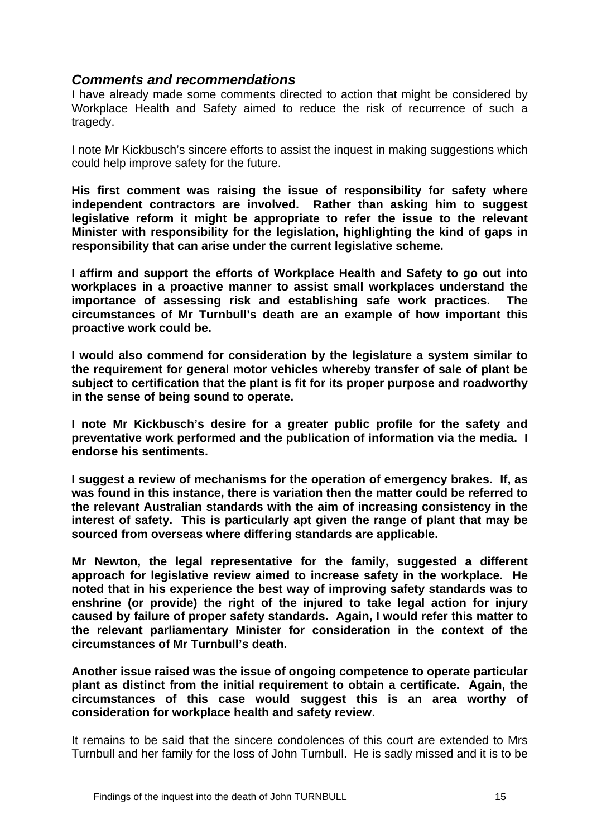### *Comments and recommendations*

I have already made some comments directed to action that might be considered by Workplace Health and Safety aimed to reduce the risk of recurrence of such a tragedy.

I note Mr Kickbusch's sincere efforts to assist the inquest in making suggestions which could help improve safety for the future.

**His first comment was raising the issue of responsibility for safety where independent contractors are involved. Rather than asking him to suggest legislative reform it might be appropriate to refer the issue to the relevant Minister with responsibility for the legislation, highlighting the kind of gaps in responsibility that can arise under the current legislative scheme.** 

**I affirm and support the efforts of Workplace Health and Safety to go out into workplaces in a proactive manner to assist small workplaces understand the importance of assessing risk and establishing safe work practices. The circumstances of Mr Turnbull's death are an example of how important this proactive work could be.** 

**I would also commend for consideration by the legislature a system similar to the requirement for general motor vehicles whereby transfer of sale of plant be subject to certification that the plant is fit for its proper purpose and roadworthy in the sense of being sound to operate.** 

**I note Mr Kickbusch's desire for a greater public profile for the safety and preventative work performed and the publication of information via the media. I endorse his sentiments.** 

**I suggest a review of mechanisms for the operation of emergency brakes. If, as was found in this instance, there is variation then the matter could be referred to the relevant Australian standards with the aim of increasing consistency in the interest of safety. This is particularly apt given the range of plant that may be sourced from overseas where differing standards are applicable.**

**Mr Newton, the legal representative for the family, suggested a different approach for legislative review aimed to increase safety in the workplace. He noted that in his experience the best way of improving safety standards was to enshrine (or provide) the right of the injured to take legal action for injury caused by failure of proper safety standards. Again, I would refer this matter to the relevant parliamentary Minister for consideration in the context of the circumstances of Mr Turnbull's death.** 

**Another issue raised was the issue of ongoing competence to operate particular plant as distinct from the initial requirement to obtain a certificate. Again, the circumstances of this case would suggest this is an area worthy of consideration for workplace health and safety review.** 

It remains to be said that the sincere condolences of this court are extended to Mrs Turnbull and her family for the loss of John Turnbull. He is sadly missed and it is to be